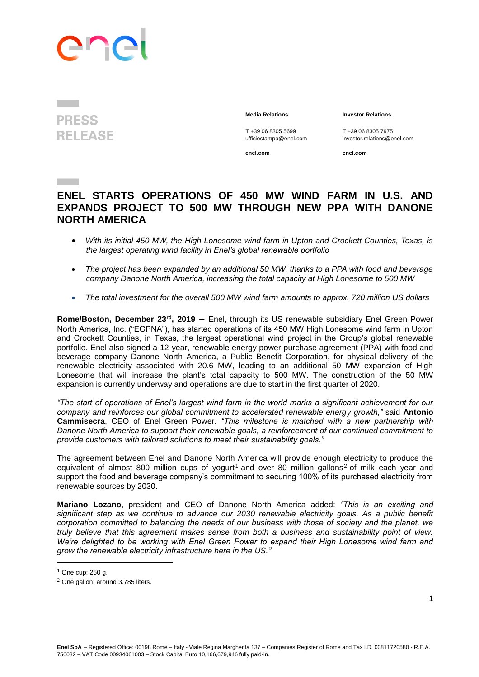## PO

**PRESS RELEASE** 

**Media Relations Investor Relations**

T +39 06 8305 5699 T +39 06 8305 7975<br>
ufficiostampa@enel.com investor.relations@e

investor.relations@enel.com

**enel.com enel.com**

## **ENEL STARTS OPERATIONS OF 450 MW WIND FARM IN U.S. AND EXPANDS PROJECT TO 500 MW THROUGH NEW PPA WITH DANONE NORTH AMERICA**

- *With its initial 450 MW, the High Lonesome wind farm in Upton and Crockett Counties, Texas, is the largest operating wind facility in Enel's global renewable portfolio*
- *The project has been expanded by an additional 50 MW, thanks to a PPA with food and beverage company Danone North America, increasing the total capacity at High Lonesome to 500 MW*
- *The total investment for the overall 500 MW wind farm amounts to approx. 720 million US dollars*

**Rome/Boston, December 23rd, 2019** – Enel, through its US renewable subsidiary Enel Green Power North America, Inc. ("EGPNA"), has started operations of its 450 MW High Lonesome wind farm in Upton and Crockett Counties, in Texas, the largest operational wind project in the Group's global renewable portfolio. Enel also signed a 12-year, renewable energy power purchase agreement (PPA) with food and beverage company Danone North America, a Public Benefit Corporation, for physical delivery of the renewable electricity associated with 20.6 MW, leading to an additional 50 MW expansion of High Lonesome that will increase the plant's total capacity to 500 MW. The construction of the 50 MW expansion is currently underway and operations are due to start in the first quarter of 2020.

*"The start of operations of Enel's largest wind farm in the world marks a significant achievement for our company and reinforces our global commitment to accelerated renewable energy growth,"* said **Antonio Cammisecra**, CEO of Enel Green Power. *"This milestone is matched with a new partnership with Danone North America to support their renewable goals, a reinforcement of our continued commitment to provide customers with tailored solutions to meet their sustainability goals."* 

The agreement between Enel and Danone North America will provide enough electricity to produce the equivalent of almost 800 million cups of yogurt<sup>1</sup> and over 80 million gallons<sup>2</sup> of milk each year and support the food and beverage company's commitment to securing 100% of its purchased electricity from renewable sources by 2030.

**Mariano Lozano**, president and CEO of Danone North America added: *"This is an exciting and significant step as we continue to advance our 2030 renewable electricity goals. As a public benefit corporation committed to balancing the needs of our business with those of society and the planet, we truly believe that this agreement makes sense from both a business and sustainability point of view. We're delighted to be working with Enel Green Power to expand their High Lonesome wind farm and grow the renewable electricity infrastructure here in the US."*

 $\overline{\phantom{a}}$ 

 $1$  One cup: 250 g.

<sup>2</sup> One gallon: around 3.785 liters.